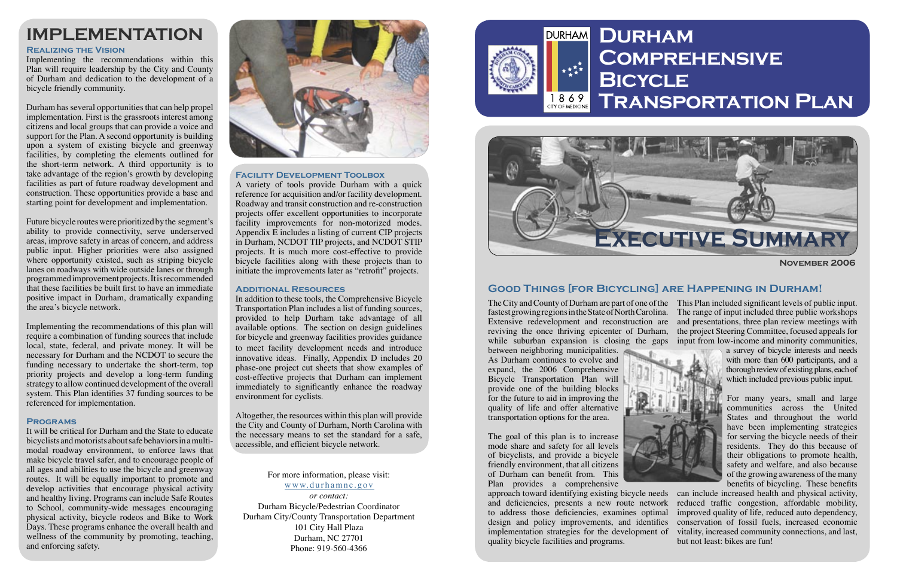

# **Comprehensive Transportation Plan**

# **IMPLEMENTATION**

## For more information, please visit:

#### www.durhamnc.gov

*or contact:* Durham Bicycle/Pedestrian Coordinator Durham City/County Transportation Department 101 City Hall Plaza Durham, NC 27701 Phone: 919-560-4366



### **Realizing the Vision**

Implementing the recommendations within this Plan will require leadership by the City and County of Durham and dedication to the development of a bicycle friendly community.

Durham has several opportunities that can help propel implementation. First is the grassroots interest among citizens and local groups that can provide a voice and support for the Plan. A second opportunity is building upon a system of existing bicycle and greenway facilities, by completing the elements outlined for the short-term network. A third opportunity is to take advantage of the region's growth by developing facilities as part of future roadway development and construction. These opportunities provide a base and starting point for development and implementation.

Future bicycle routes were prioritized by the segment's ability to provide connectivity, serve underserved areas, improve safety in areas of concern, and address public input. Higher priorities were also assigned where opportunity existed, such as striping bicycle lanes on roadways with wide outside lanes or through programmed improvement projects. It is recommended that these facilities be built first to have an immediate positive impact in Durham, dramatically expanding the area's bicycle network.

The City and County of Durham are part of one of the This Plan included signifi cant levels of public input. fastest growing regions in the State of North Carolina. The range of input included three public workshops Extensive redevelopment and reconstruction are and presentations, three plan review meetings with reviving the once thriving epicenter of Durham, the project Steering Committee, focused appeals for while suburban expansion is closing the gaps input from low-income and minority communities,

between neighboring municipalities. As Durham continues to evolve and expand, the 2006 Comprehensive Bicycle Transportation Plan will provide one of the building blocks for the future to aid in improving the quality of life and offer alternative transportation options for the area.



Implementing the recommendations of this plan will require a combination of funding sources that include local, state, federal, and private money. It will be necessary for Durham and the NCDOT to secure the funding necessary to undertake the short-term, top priority projects and develop a long-term funding strategy to allow continued development of the overall system. This Plan identifies  $37$  funding sources to be referenced for implementation.

### **Programs**

For many years, small and large communities across the United States and throughout the world have been implementing strategies for serving the bicycle needs of their residents. They do this because of their obligations to promote health, safety and welfare, and also because of the growing awareness of the many benefits of bicycling. These benefits

It will be critical for Durham and the State to educate bicyclists and motorists about safe behaviors in a multimodal roadway environment, to enforce laws that make bicycle travel safer, and to encourage people of all ages and abilities to use the bicycle and greenway routes. It will be equally important to promote and develop activities that encourage physical activity and healthy living. Programs can include Safe Routes to School, community-wide messages encouraging physical activity, bicycle rodeos and Bike to Work Days. These programs enhance the overall health and wellness of the community by promoting, teaching, and enforcing safety.



A variety of tools provide Durham with a quick reference for acquisition and/or facility development. Roadway and transit construction and re-construction projects offer excellent opportunities to incorporate facility improvements for non-motorized modes. Appendix E includes a listing of current CIP projects in Durham, NCDOT TIP projects, and NCDOT STIP projects. It is much more cost-effective to provide bicycle facilities along with these projects than to initiate the improvements later as "retrofit" projects.

**November 2006**



Altogether, the resources within this plan will provide the City and County of Durham, North Carolina with the necessary means to set the standard for a safe, accessible, and efficient bicycle network.

The goal of this plan is to increase mode share and safety for all levels of bicyclists, and provide a bicycle friendly environment, that all citizens of Durham can benefit from. This Plan provides a comprehensive

a survey of bicycle interests and needs with more than 600 participants, and a thorough review of existing plans, each of which included previous public input.

approach toward identifying existing bicycle needs can include increased health and physical activity, and deficiencies, presents a new route network to address those deficiencies, examines optimal design and policy improvements, and identifies implementation strategies for the development of quality bicycle facilities and programs. reduced traffic congestion, affordable mobility, improved quality of life, reduced auto dependency, conservation of fossil fuels, increased economic vitality, increased community connections, and last, but not least: bikes are fun!

## **Facility Development Toolbox**

#### **Additional Resources**

In addition to these tools, the Comprehensive Bicycle Transportation Plan includes a list of funding sources, provided to help Durham take advantage of all available options. The section on design guidelines for bicycle and greenway facilities provides guidance to meet facility development needs and introduce innovative ideas. Finally, Appendix D includes 20 phase-one project cut sheets that show examples of cost-effective projects that Durham can implement immediately to significantly enhance the roadway environment for cyclists.

## **Good Things [for Bicycling] are Happening in Durham!**